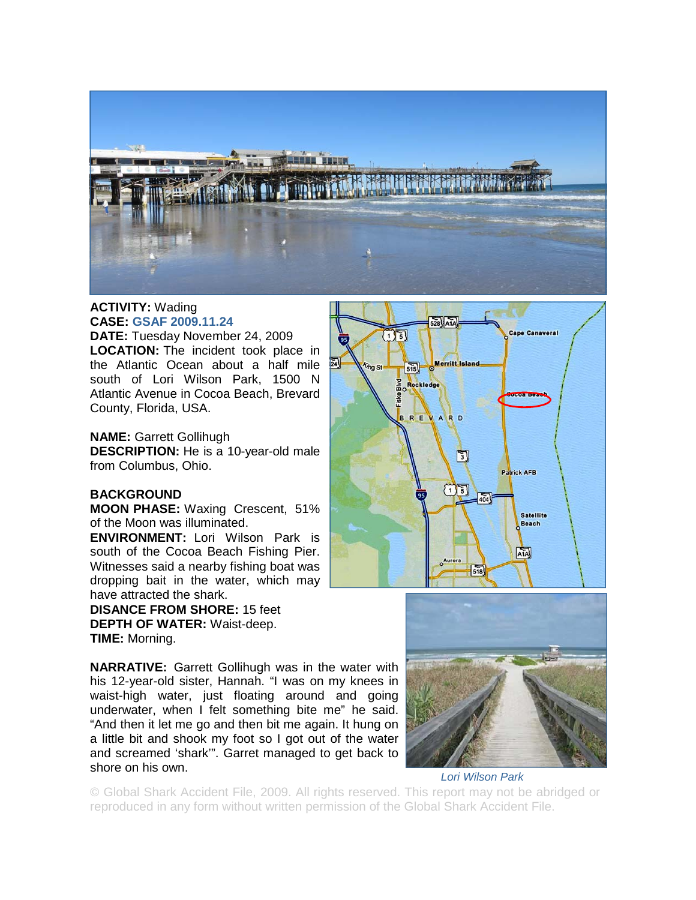

## **ACTIVITY:** Wading **CASE: GSAF 2009.11.24**

**DATE:** Tuesday November 24, 2009 **LOCATION:** The incident took place in the Atlantic Ocean about a half mile south of Lori Wilson Park, 1500 N Atlantic Avenue in Cocoa Beach, Brevard County, Florida, USA.

**NAME:** Garrett Gollihugh

**DESCRIPTION:** He is a 10-year-old male from Columbus, Ohio.

## **BACKGROUND**

**MOON PHASE:** Waxing Crescent, 51% of the Moon was illuminated.

**ENVIRONMENT:** Lori Wilson Park is south of the Cocoa Beach Fishing Pier. Witnesses said a nearby fishing boat was dropping bait in the water, which may have attracted the shark.

**DISANCE FROM SHORE:** 15 feet **DEPTH OF WATER:** Waist-deep. **TIME:** Morning.

**NARRATIVE:** Garrett Gollihugh was in the water with his 12-year-old sister, Hannah. "I was on my knees in waist-high water, just floating around and going underwater, when I felt something bite me" he said. "And then it let me go and then bit me again. It hung on a little bit and shook my foot so I got out of the water and screamed 'shark'". Garret managed to get back to shore on his own.





*Lori Wilson Park* 

© Global Shark Accident File, 2009. All rights reserved. This report may not be abridged or reproduced in any form without written permission of the Global Shark Accident File.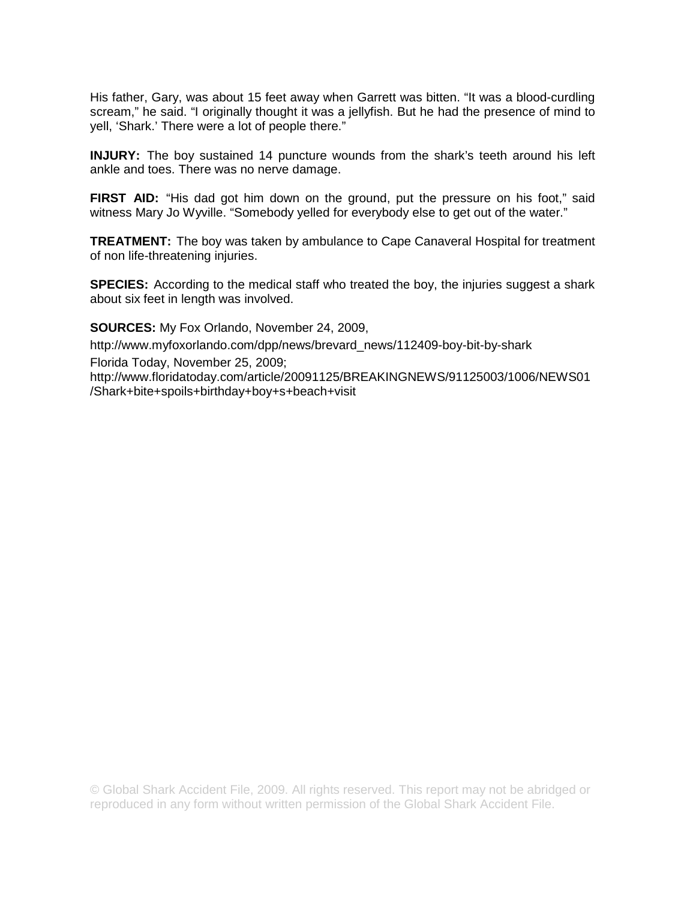His father, Gary, was about 15 feet away when Garrett was bitten. "It was a blood-curdling scream," he said. "I originally thought it was a jellyfish. But he had the presence of mind to yell, 'Shark.' There were a lot of people there."

**INJURY:** The boy sustained 14 puncture wounds from the shark's teeth around his left ankle and toes. There was no nerve damage.

**FIRST AID:** "His dad got him down on the ground, put the pressure on his foot," said witness Mary Jo Wyville. "Somebody yelled for everybody else to get out of the water."

**TREATMENT:** The boy was taken by ambulance to Cape Canaveral Hospital for treatment of non life-threatening injuries.

**SPECIES:** According to the medical staff who treated the boy, the injuries suggest a shark about six feet in length was involved.

**SOURCES:** My Fox Orlando, November 24, 2009,

http://www.myfoxorlando.com/dpp/news/brevard\_news/112409-boy-bit-by-shark Florida Today, November 25, 2009;

http://www.floridatoday.com/article/20091125/BREAKINGNEWS/91125003/1006/NEWS01 /Shark+bite+spoils+birthday+boy+s+beach+visit

© Global Shark Accident File, 2009. All rights reserved. This report may not be abridged or reproduced in any form without written permission of the Global Shark Accident File.